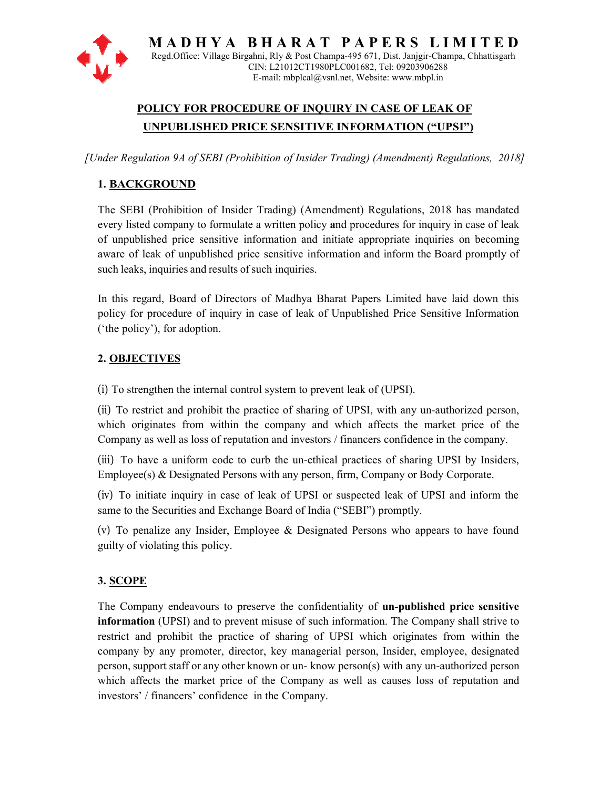

 $M$  A  $D$  H  $Y$  A  $B$   $H$  A  $R$  A  $T$   $P$   $A$   $P$   $E$   $R$   $S$   $L$   $I$   $M$   $I$   $T$   $E$   $D$ Regd.Office: Village Birgahni, Rly & Post Champa-495 671, Dist. Janjgir-Champa, Chhattisgarh CIN: L21012CT1980PLC001682, Tel: 09203906288 E-mail: mbplcal@vsnl.net, Website: www.mbpl.in

# **POLICY FOR PROCEDURE OF INQUIRY IN CASE OF LEAK OF UNPUBLISHED PRICE SENSITIVE INFORMATION ("UPSI") OF LEAK UNPUBLISHED**

*[Under Regulation 9A of SEBI (Prohibition of Insider Trading) (Amendment) Regulations, 9A of Regulations, 2018]* 

# **1. BACKGROUND**

The SEBI (Prohibition of Insider Trading) (Amendment) Regulations, 2018 has mandated every listed company to formulate a written policy **a**nd procedures for inquiry in case of leak of unpublished price sensitive information and initiate appropriate inquiries on becoming every listed company to formulate a written policy and procedures for inquiry in case of leak<br>of unpublished price sensitive information and initiate appropriate inquiries on becoming<br>aware of leak of unpublished price sen such leaks, inquiries and results of such inquiries.

In this regard, Board of Directors of Madhya Bharat Papers Limited have laid down this policy for procedure of inquiry in case of leak of Unpublished Price Sensitive Information ('the policy'), for adoption. policy for procedure of inquiry in case of leak of Unpublished Price<br>
('the policy'), for adoption.<br> **2. <u>OBJECTIVES</u>**<br>
(i) To strengthen the internal control system to prevent leak of (UPSI).

# **2. OBJECTIVES**

(ii) To restrict and prohibit the practice of sharing of UPSI, with any un-authorized person, which originates from within the company and which affects the market price of the Company as well as loss of reputation and investors / financers confidence in the company. which originates from within the company and which affects the market price of the Company as well as loss of reputation and investors / financers confidence in the company.<br>(iii) To have a uniform code to curb the un-ethi I prohibit the practice of sharing of UPSI, with any un-authorized person, from within the company and which affects the market price of the is loss of reputation and investors / financers confidence in the company.

Employee(s) & Designated Persons with any person, firm, Company or Body Corporate. ethical practices of sharing UPSI b<br>erson, firm, Company or Body Corp<br>'SI or suspected leak of UPSI and

(iv) To initiate inquiry in case of leak of UPSI or suspected leak of UPSI and inform the same to the Securities and Exchange Board of India ("SEBI") promptly.

(v) To penalize any Insider, Employee & Designated Persons who appears to have found guilty of violating this policy. (v) To penalize any Insider, Employee & Designated Persons who appears to have found<br>guilty of violating this policy.<br>**3. <u>SCOPE</u>**<br>The Company endeavours to preserve the confidentiality of **un-published price sensitive** 

## **3. SCOPE**

**information** (UPSI) and to prevent misuse of such information. The Company shall strive to restrict and prohibit the practice of sharing of UPSI which originates from within the information (UPSI) and to prevent misuse of such information. The Company shall strive to restrict and prohibit the practice of sharing of UPSI which originates from within the company by any promoter, director, key manage person, support staff or any other known or un- know person(s) with any un-authorized person which affects the market price of the Company as well as causes loss of reputation and investors' / financers' confidence in the Company. investors' / financers' confidence in the Company.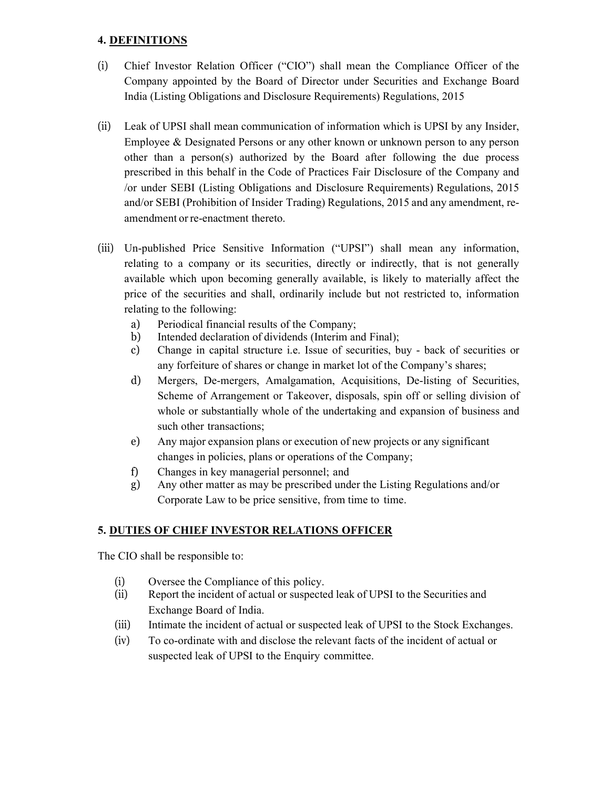#### **4. DEFINITIONS**

- (i) Chief Investor Relation Officer ("CIO") shall mean the Compliance Officer of the Company appointed by the Board of Director under Securities and Exchange Board India (Listing Obligations and Disclosure Requirements) Regulations, 2015
- (ii) Leak of UPSI shall mean communication of information which is UPSI by any Insider, Employee & Designated Persons or any other known or unknown person to any person other than a person(s) authorized by the Board after following the due process prescribed in this behalf in the Code of Practices Fair Disclosure of the Company and /or under SEBI (Listing Obligations and Disclosure Requirements) Regulations, 2015 and/or SEBI (Prohibition of Insider Trading) Regulations, 2015 and any amendment, reamendment or re-enactment thereto.
- (iii) Un-published Price Sensitive Information ("UPSI") shall mean any information, relating to a company or its securities, directly or indirectly, that is not generally available which upon becoming generally available, is likely to materially affect the price of the securities and shall, ordinarily include but not restricted to, information relating to the following:
	- a) Periodical financial results of the Company;
	- b) Intended declaration of dividends (Interim and Final);
	- c) Change in capital structure i.e. Issue of securities, buy back of securities or any forfeiture of shares or change in market lot of the Company's shares;
	- d) Mergers, De-mergers, Amalgamation, Acquisitions, De-listing of Securities, Scheme of Arrangement or Takeover, disposals, spin off or selling division of whole or substantially whole of the undertaking and expansion of business and such other transactions;
	- e) Any major expansion plans or execution of new projects or any significant changes in policies, plans or operations of the Company;
	- f) Changes in key managerial personnel; and
	- g) Any other matter as may be prescribed under the Listing Regulations and/or Corporate Law to be price sensitive, from time to time.

## **5. DUTIES OF CHIEF INVESTOR RELATIONS OFFICER**

The CIO shall be responsible to:

- (i) Oversee the Compliance of this policy.
- (ii) Report the incident of actual or suspected leak of UPSI to the Securities and Exchange Board of India.
- (iii) Intimate the incident of actual or suspected leak of UPSI to the Stock Exchanges.
- (iv) To co-ordinate with and disclose the relevant facts of the incident of actual or suspected leak of UPSI to the Enquiry committee.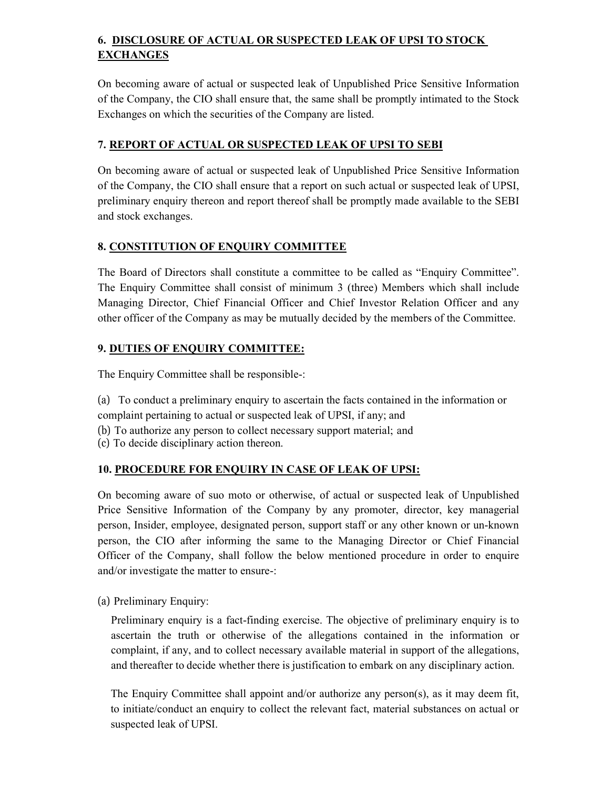# **6. DISCLOSURE OF ACTUAL OR SUSPECTED LEAK OF UPSI TO STOCK EXCHANGES**

On becoming aware of actual or suspected leak of Unpublished Price Sensitive Information of the Company, the CIO shall ensure that, the same shall be promptly intimated to the Stock Exchanges on which the securities of the Company are listed.

#### **7. REPORT OF ACTUAL OR SUSPECTED LEAK OF UPSI TO SEBI**

On becoming aware of actual or suspected leak of Unpublished Price Sensitive Information of the Company, the CIO shall ensure that a report on such actual or suspected leak of UPSI, preliminary enquiry thereon and report thereof shall be promptly made available to the SEBI and stock exchanges.

#### **8. CONSTITUTION OF ENQUIRY COMMITTEE**

The Board of Directors shall constitute a committee to be called as "Enquiry Committee". The Enquiry Committee shall consist of minimum 3 (three) Members which shall include Managing Director, Chief Financial Officer and Chief Investor Relation Officer and any other officer of the Company as may be mutually decided by the members of the Committee.

## **9. DUTIES OF ENQUIRY COMMITTEE:**

The Enquiry Committee shall be responsible-:

(a) To conduct a preliminary enquiry to ascertain the facts contained in the information or complaint pertaining to actual or suspected leak of UPSI, if any; and

- (b) To authorize any person to collect necessary support material; and
- (c) To decide disciplinary action thereon.

## **10. PROCEDURE FOR ENQUIRY IN CASE OF LEAK OF UPSI:**

On becoming aware of suo moto or otherwise, of actual or suspected leak of Unpublished Price Sensitive Information of the Company by any promoter, director, key managerial person, Insider, employee, designated person, support staff or any other known or un-known person, the CIO after informing the same to the Managing Director or Chief Financial Officer of the Company, shall follow the below mentioned procedure in order to enquire and/or investigate the matter to ensure-:

(a) Preliminary Enquiry:

Preliminary enquiry is a fact-finding exercise. The objective of preliminary enquiry is to ascertain the truth or otherwise of the allegations contained in the information or complaint, if any, and to collect necessary available material in support of the allegations, and thereafter to decide whether there is justification to embark on any disciplinary action.

The Enquiry Committee shall appoint and/or authorize any person(s), as it may deem fit, to initiate/conduct an enquiry to collect the relevant fact, material substances on actual or suspected leak of UPSI.